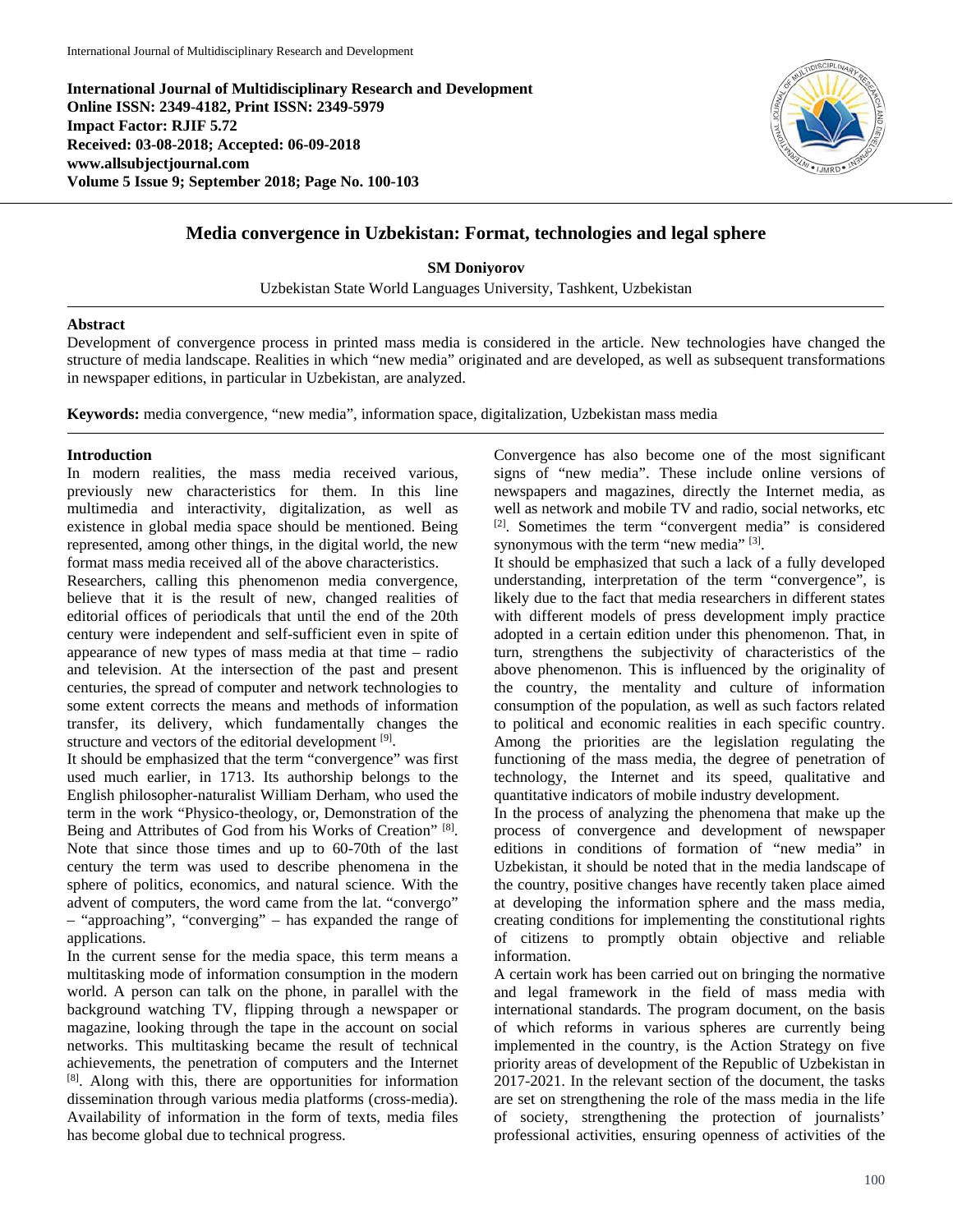**International Journal of Multidisciplinary Research and Development Online ISSN: 2349-4182, Print ISSN: 2349-5979 Impact Factor: RJIF 5.72 Received: 03-08-2018; Accepted: 06-09-2018 www.allsubjectjournal.com Volume 5 Issue 9; September 2018; Page No. 100-103**



## **Media convergence in Uzbekistan: Format, technologies and legal sphere**

**SM Doniyorov** Uzbekistan State World Languages University, Tashkent, Uzbekistan

## **Abstract**

Development of convergence process in printed mass media is considered in the article. New technologies have changed the structure of media landscape. Realities in which "new media" originated and are developed, as well as subsequent transformations in newspaper editions, in particular in Uzbekistan, are analyzed.

**Keywords:** media convergence, "new media", information space, digitalization, Uzbekistan mass media

## **Introduction**

In modern realities, the mass media received various, previously new characteristics for them. In this line multimedia and interactivity, digitalization, as well as existence in global media space should be mentioned. Being represented, among other things, in the digital world, the new format mass media received all of the above characteristics.

Researchers, calling this phenomenon media convergence, believe that it is the result of new, changed realities of editorial offices of periodicals that until the end of the 20th century were independent and self-sufficient even in spite of appearance of new types of mass media at that time – radio and television. At the intersection of the past and present centuries, the spread of computer and network technologies to some extent corrects the means and methods of information transfer, its delivery, which fundamentally changes the structure and vectors of the editorial development [9].

It should be emphasized that the term "convergence" was first used much earlier, in 1713. Its authorship belongs to the English philosopher-naturalist William Derham, who used the term in the work "Physico-theology, or, Demonstration of the Being and Attributes of God from his Works of Creation" [8]. Note that since those times and up to 60-70th of the last century the term was used to describe phenomena in the sphere of politics, economics, and natural science. With the advent of computers, the word came from the lat. "convergo" – "approaching", "converging" – has expanded the range of applications.

In the current sense for the media space, this term means a multitasking mode of information consumption in the modern world. A person can talk on the phone, in parallel with the background watching TV, flipping through a newspaper or magazine, looking through the tape in the account on social networks. This multitasking became the result of technical achievements, the penetration of computers and the Internet [8] . Along with this, there are opportunities for information dissemination through various media platforms (cross-media). Availability of information in the form of texts, media files has become global due to technical progress.

Convergence has also become one of the most significant signs of "new media". These include online versions of newspapers and magazines, directly the Internet media, as well as network and mobile TV and radio, social networks, etc [2]. Sometimes the term "convergent media" is considered synonymous with the term "new media" [3].

It should be emphasized that such a lack of a fully developed understanding, interpretation of the term "convergence", is likely due to the fact that media researchers in different states with different models of press development imply practice adopted in a certain edition under this phenomenon. That, in turn, strengthens the subjectivity of characteristics of the above phenomenon. This is influenced by the originality of the country, the mentality and culture of information consumption of the population, as well as such factors related to political and economic realities in each specific country. Among the priorities are the legislation regulating the functioning of the mass media, the degree of penetration of technology, the Internet and its speed, qualitative and quantitative indicators of mobile industry development.

In the process of analyzing the phenomena that make up the process of convergence and development of newspaper editions in conditions of formation of "new media" in Uzbekistan, it should be noted that in the media landscape of the country, positive changes have recently taken place aimed at developing the information sphere and the mass media, creating conditions for implementing the constitutional rights of citizens to promptly obtain objective and reliable information.

A certain work has been carried out on bringing the normative and legal framework in the field of mass media with international standards. The program document, on the basis of which reforms in various spheres are currently being implemented in the country, is the Action Strategy on five priority areas of development of the Republic of Uzbekistan in 2017-2021. In the relevant section of the document, the tasks are set on strengthening the role of the mass media in the life of society, strengthening the protection of journalists' professional activities, ensuring openness of activities of the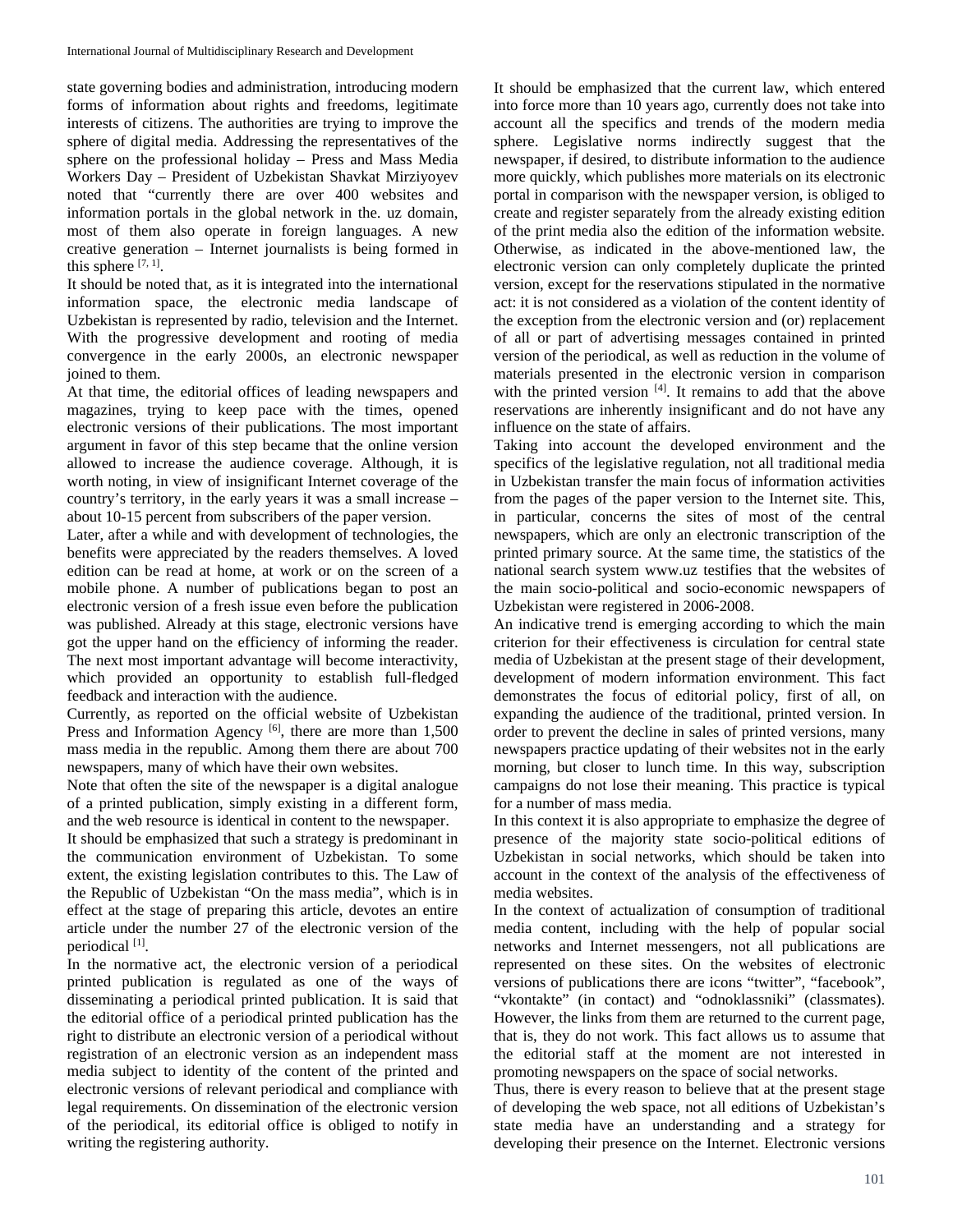state governing bodies and administration, introducing modern forms of information about rights and freedoms, legitimate interests of citizens. The authorities are trying to improve the sphere of digital media. Addressing the representatives of the sphere on the professional holiday – Press and Mass Media Workers Day – President of Uzbekistan Shavkat Mirziyoyev noted that "currently there are over 400 websites and information portals in the global network in the. uz domain, most of them also operate in foreign languages. A new creative generation – Internet journalists is being formed in this sphere  $[7, 1]$ .

It should be noted that, as it is integrated into the international information space, the electronic media landscape of Uzbekistan is represented by radio, television and the Internet. With the progressive development and rooting of media convergence in the early 2000s, an electronic newspaper joined to them.

At that time, the editorial offices of leading newspapers and magazines, trying to keep pace with the times, opened electronic versions of their publications. The most important argument in favor of this step became that the online version allowed to increase the audience coverage. Although, it is worth noting, in view of insignificant Internet coverage of the country's territory, in the early years it was a small increase – about 10-15 percent from subscribers of the paper version.

Later, after a while and with development of technologies, the benefits were appreciated by the readers themselves. A loved edition can be read at home, at work or on the screen of a mobile phone. A number of publications began to post an electronic version of a fresh issue even before the publication was published. Already at this stage, electronic versions have got the upper hand on the efficiency of informing the reader. The next most important advantage will become interactivity, which provided an opportunity to establish full-fledged feedback and interaction with the audience.

Currently, as reported on the official website of Uzbekistan Press and Information Agency  $[6]$ , there are more than 1,500 mass media in the republic. Among them there are about 700 newspapers, many of which have their own websites.

Note that often the site of the newspaper is a digital analogue of a printed publication, simply existing in a different form, and the web resource is identical in content to the newspaper.

It should be emphasized that such a strategy is predominant in the communication environment of Uzbekistan. To some extent, the existing legislation contributes to this. The Law of the Republic of Uzbekistan "On the mass media", which is in effect at the stage of preparing this article, devotes an entire article under the number 27 of the electronic version of the periodical [1].

In the normative act, the electronic version of a periodical printed publication is regulated as one of the ways of disseminating a periodical printed publication. It is said that the editorial office of a periodical printed publication has the right to distribute an electronic version of a periodical without registration of an electronic version as an independent mass media subject to identity of the content of the printed and electronic versions of relevant periodical and compliance with legal requirements. On dissemination of the electronic version of the periodical, its editorial office is obliged to notify in writing the registering authority.

It should be emphasized that the current law, which entered into force more than 10 years ago, currently does not take into account all the specifics and trends of the modern media sphere. Legislative norms indirectly suggest that the newspaper, if desired, to distribute information to the audience more quickly, which publishes more materials on its electronic portal in comparison with the newspaper version, is obliged to create and register separately from the already existing edition of the print media also the edition of the information website. Otherwise, as indicated in the above-mentioned law, the electronic version can only completely duplicate the printed version, except for the reservations stipulated in the normative act: it is not considered as a violation of the content identity of the exception from the electronic version and (or) replacement of all or part of advertising messages contained in printed version of the periodical, as well as reduction in the volume of materials presented in the electronic version in comparison with the printed version  $[4]$ . It remains to add that the above reservations are inherently insignificant and do not have any influence on the state of affairs.

Taking into account the developed environment and the specifics of the legislative regulation, not all traditional media in Uzbekistan transfer the main focus of information activities from the pages of the paper version to the Internet site. This, in particular, concerns the sites of most of the central newspapers, which are only an electronic transcription of the printed primary source. At the same time, the statistics of the national search system www.uz testifies that the websites of the main socio-political and socio-economic newspapers of Uzbekistan were registered in 2006-2008.

An indicative trend is emerging according to which the main criterion for their effectiveness is circulation for central state media of Uzbekistan at the present stage of their development, development of modern information environment. This fact demonstrates the focus of editorial policy, first of all, on expanding the audience of the traditional, printed version. In order to prevent the decline in sales of printed versions, many newspapers practice updating of their websites not in the early morning, but closer to lunch time. In this way, subscription campaigns do not lose their meaning. This practice is typical for a number of mass media.

In this context it is also appropriate to emphasize the degree of presence of the majority state socio-political editions of Uzbekistan in social networks, which should be taken into account in the context of the analysis of the effectiveness of media websites.

In the context of actualization of consumption of traditional media content, including with the help of popular social networks and Internet messengers, not all publications are represented on these sites. On the websites of electronic versions of publications there are icons "twitter", "facebook", "vkontakte" (in contact) and "odnoklassniki" (classmates). However, the links from them are returned to the current page, that is, they do not work. This fact allows us to assume that the editorial staff at the moment are not interested in promoting newspapers on the space of social networks.

Thus, there is every reason to believe that at the present stage of developing the web space, not all editions of Uzbekistan's state media have an understanding and a strategy for developing their presence on the Internet. Electronic versions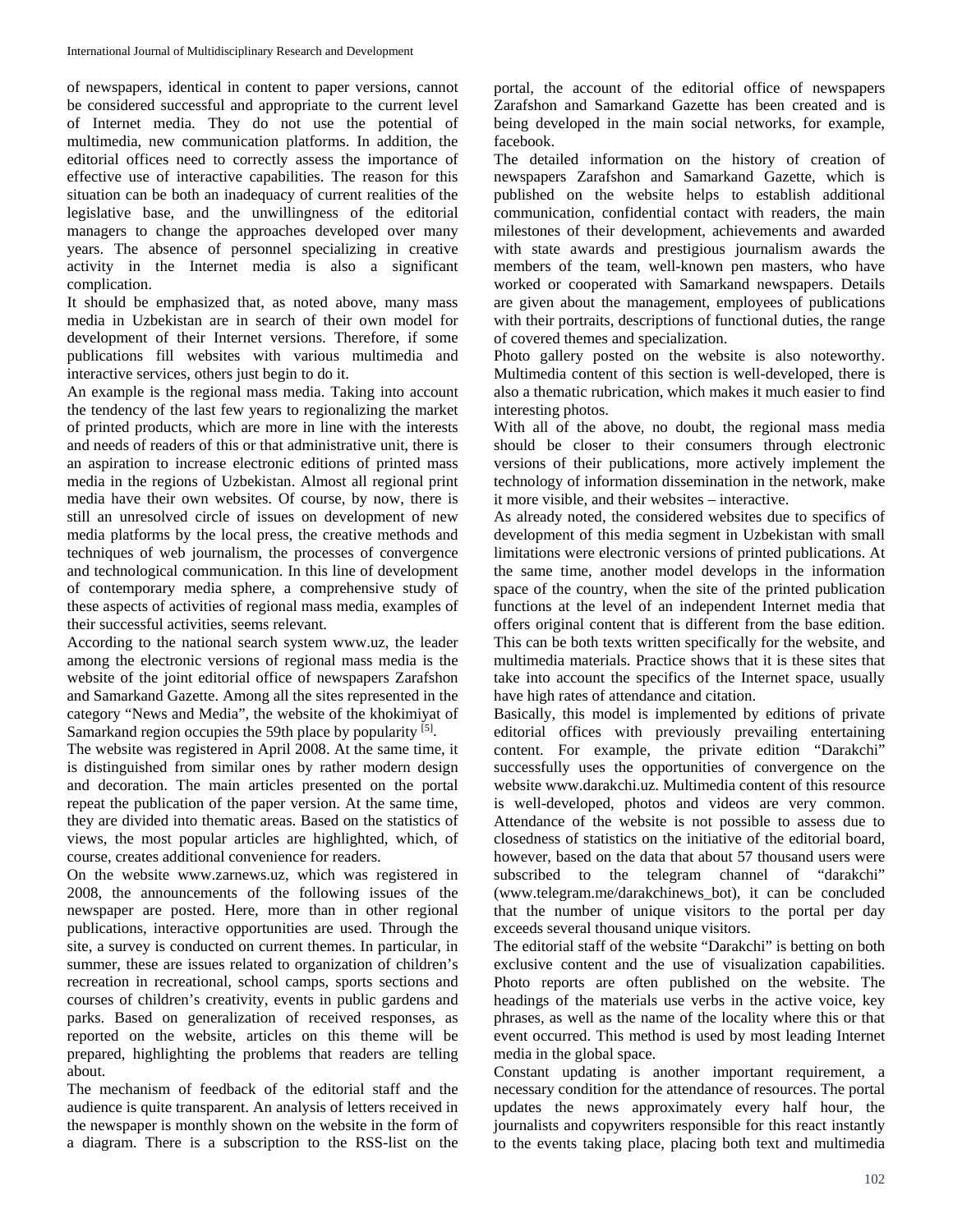of newspapers, identical in content to paper versions, cannot be considered successful and appropriate to the current level of Internet media. They do not use the potential of multimedia, new communication platforms. In addition, the editorial offices need to correctly assess the importance of effective use of interactive capabilities. The reason for this situation can be both an inadequacy of current realities of the legislative base, and the unwillingness of the editorial managers to change the approaches developed over many years. The absence of personnel specializing in creative activity in the Internet media is also a significant complication.

It should be emphasized that, as noted above, many mass media in Uzbekistan are in search of their own model for development of their Internet versions. Therefore, if some publications fill websites with various multimedia and interactive services, others just begin to do it.

An example is the regional mass media. Taking into account the tendency of the last few years to regionalizing the market of printed products, which are more in line with the interests and needs of readers of this or that administrative unit, there is an aspiration to increase electronic editions of printed mass media in the regions of Uzbekistan. Almost all regional print media have their own websites. Of course, by now, there is still an unresolved circle of issues on development of new media platforms by the local press, the creative methods and techniques of web journalism, the processes of convergence and technological communication. In this line of development of contemporary media sphere, a comprehensive study of these aspects of activities of regional mass media, examples of their successful activities, seems relevant.

According to the national search system www.uz, the leader among the electronic versions of regional mass media is the website of the joint editorial office of newspapers Zarafshon and Samarkand Gazette. Among all the sites represented in the category "News and Media", the website of the khokimiyat of Samarkand region occupies the 59th place by popularity <sup>[5]</sup>.

The website was registered in April 2008. At the same time, it is distinguished from similar ones by rather modern design and decoration. The main articles presented on the portal repeat the publication of the paper version. At the same time, they are divided into thematic areas. Based on the statistics of views, the most popular articles are highlighted, which, of course, creates additional convenience for readers.

On the website www.zarnews.uz, which was registered in 2008, the announcements of the following issues of the newspaper are posted. Here, more than in other regional publications, interactive opportunities are used. Through the site, a survey is conducted on current themes. In particular, in summer, these are issues related to organization of children's recreation in recreational, school camps, sports sections and courses of children's creativity, events in public gardens and parks. Based on generalization of received responses, as reported on the website, articles on this theme will be prepared, highlighting the problems that readers are telling about.

The mechanism of feedback of the editorial staff and the audience is quite transparent. An analysis of letters received in the newspaper is monthly shown on the website in the form of a diagram. There is a subscription to the RSS-list on the portal, the account of the editorial office of newspapers Zarafshon and Samarkand Gazette has been created and is being developed in the main social networks, for example, facebook.

The detailed information on the history of creation of newspapers Zarafshon and Samarkand Gazette, which is published on the website helps to establish additional communication, confidential contact with readers, the main milestones of their development, achievements and awarded with state awards and prestigious journalism awards the members of the team, well-known pen masters, who have worked or cooperated with Samarkand newspapers. Details are given about the management, employees of publications with their portraits, descriptions of functional duties, the range of covered themes and specialization.

Photo gallery posted on the website is also noteworthy. Multimedia content of this section is well-developed, there is also a thematic rubrication, which makes it much easier to find interesting photos.

With all of the above, no doubt, the regional mass media should be closer to their consumers through electronic versions of their publications, more actively implement the technology of information dissemination in the network, make it more visible, and their websites – interactive.

As already noted, the considered websites due to specifics of development of this media segment in Uzbekistan with small limitations were electronic versions of printed publications. At the same time, another model develops in the information space of the country, when the site of the printed publication functions at the level of an independent Internet media that offers original content that is different from the base edition. This can be both texts written specifically for the website, and multimedia materials. Practice shows that it is these sites that take into account the specifics of the Internet space, usually have high rates of attendance and citation.

Basically, this model is implemented by editions of private editorial offices with previously prevailing entertaining content. For example, the private edition "Darakchi" successfully uses the opportunities of convergence on the website www.darakchi.uz. Multimedia content of this resource is well-developed, photos and videos are very common. Attendance of the website is not possible to assess due to closedness of statistics on the initiative of the editorial board, however, based on the data that about 57 thousand users were subscribed to the telegram channel of "darakchi" (www.telegram.me/darakchinews\_bot), it can be concluded that the number of unique visitors to the portal per day exceeds several thousand unique visitors.

The editorial staff of the website "Darakchi" is betting on both exclusive content and the use of visualization capabilities. Photo reports are often published on the website. The headings of the materials use verbs in the active voice, key phrases, as well as the name of the locality where this or that event occurred. This method is used by most leading Internet media in the global space.

Constant updating is another important requirement, a necessary condition for the attendance of resources. The portal updates the news approximately every half hour, the journalists and copywriters responsible for this react instantly to the events taking place, placing both text and multimedia